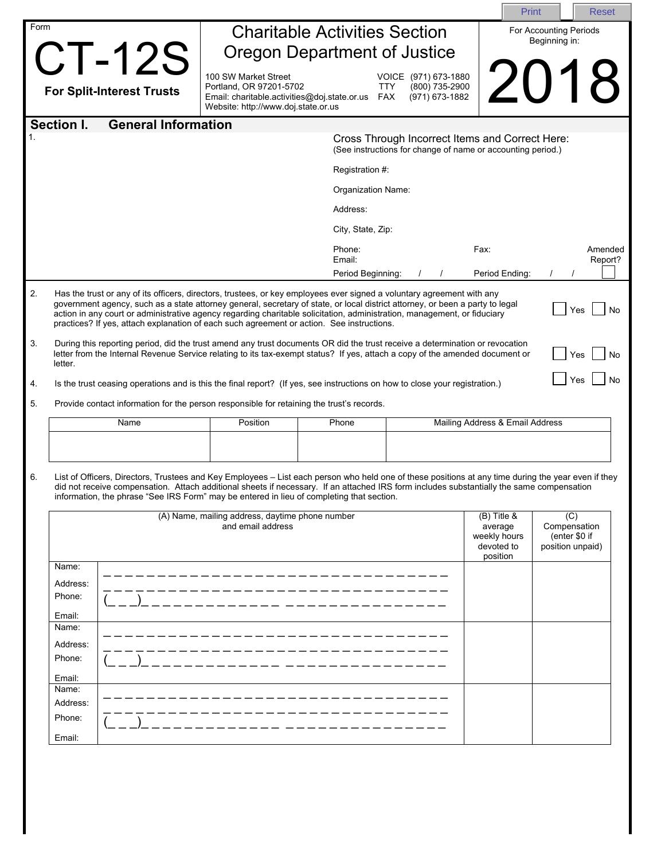|                |                                                                                                                                                                                                                                                                                                                                                                                                                                                                                                                                                                                                                                                                                                                                                                                                                                                                                                                                   |                                                                                                                                        |                                      |                                                                                                                |                                                          | <b>Print</b>                    |                                         | <b>Reset</b>       |
|----------------|-----------------------------------------------------------------------------------------------------------------------------------------------------------------------------------------------------------------------------------------------------------------------------------------------------------------------------------------------------------------------------------------------------------------------------------------------------------------------------------------------------------------------------------------------------------------------------------------------------------------------------------------------------------------------------------------------------------------------------------------------------------------------------------------------------------------------------------------------------------------------------------------------------------------------------------|----------------------------------------------------------------------------------------------------------------------------------------|--------------------------------------|----------------------------------------------------------------------------------------------------------------|----------------------------------------------------------|---------------------------------|-----------------------------------------|--------------------|
| Form           |                                                                                                                                                                                                                                                                                                                                                                                                                                                                                                                                                                                                                                                                                                                                                                                                                                                                                                                                   |                                                                                                                                        | <b>Charitable Activities Section</b> |                                                                                                                |                                                          |                                 | For Accounting Periods<br>Beginning in: |                    |
|                | CT-12S                                                                                                                                                                                                                                                                                                                                                                                                                                                                                                                                                                                                                                                                                                                                                                                                                                                                                                                            | <b>Oregon Department of Justice</b>                                                                                                    |                                      |                                                                                                                |                                                          |                                 |                                         |                    |
|                | <b>For Split-Interest Trusts</b>                                                                                                                                                                                                                                                                                                                                                                                                                                                                                                                                                                                                                                                                                                                                                                                                                                                                                                  | 100 SW Market Street<br>Portland, OR 97201-5702<br>Email: charitable.activities@doj.state.or.us<br>Website: http://www.doj.state.or.us |                                      | <b>TTY</b><br>FAX                                                                                              | VOICE (971) 673-1880<br>(800) 735-2900<br>(971) 673-1882 | 201                             |                                         |                    |
|                | <b>General Information</b><br><b>Section I.</b>                                                                                                                                                                                                                                                                                                                                                                                                                                                                                                                                                                                                                                                                                                                                                                                                                                                                                   |                                                                                                                                        |                                      |                                                                                                                |                                                          |                                 |                                         |                    |
|                |                                                                                                                                                                                                                                                                                                                                                                                                                                                                                                                                                                                                                                                                                                                                                                                                                                                                                                                                   |                                                                                                                                        |                                      | Cross Through Incorrect Items and Correct Here:<br>(See instructions for change of name or accounting period.) |                                                          |                                 |                                         |                    |
|                |                                                                                                                                                                                                                                                                                                                                                                                                                                                                                                                                                                                                                                                                                                                                                                                                                                                                                                                                   |                                                                                                                                        |                                      | Registration #:                                                                                                |                                                          |                                 |                                         |                    |
|                |                                                                                                                                                                                                                                                                                                                                                                                                                                                                                                                                                                                                                                                                                                                                                                                                                                                                                                                                   |                                                                                                                                        |                                      | Organization Name:                                                                                             |                                                          |                                 |                                         |                    |
|                |                                                                                                                                                                                                                                                                                                                                                                                                                                                                                                                                                                                                                                                                                                                                                                                                                                                                                                                                   |                                                                                                                                        | Address:                             |                                                                                                                |                                                          |                                 |                                         |                    |
|                |                                                                                                                                                                                                                                                                                                                                                                                                                                                                                                                                                                                                                                                                                                                                                                                                                                                                                                                                   |                                                                                                                                        | City, State, Zip:                    |                                                                                                                |                                                          |                                 |                                         |                    |
|                |                                                                                                                                                                                                                                                                                                                                                                                                                                                                                                                                                                                                                                                                                                                                                                                                                                                                                                                                   |                                                                                                                                        | Phone:<br>Email:                     |                                                                                                                |                                                          | Fax:                            |                                         | Amended<br>Report? |
|                |                                                                                                                                                                                                                                                                                                                                                                                                                                                                                                                                                                                                                                                                                                                                                                                                                                                                                                                                   |                                                                                                                                        | Period Beginning:                    |                                                                                                                |                                                          | Period Ending:                  |                                         |                    |
| 2.<br>3.<br>4. | Has the trust or any of its officers, directors, trustees, or key employees ever signed a voluntary agreement with any<br>government agency, such as a state attorney general, secretary of state, or local district attorney, or been a party to legal<br>No<br>Yes<br>action in any court or administrative agency regarding charitable solicitation, administration, management, or fiduciary<br>practices? If yes, attach explanation of each such agreement or action. See instructions.<br>During this reporting period, did the trust amend any trust documents OR did the trust receive a determination or revocation<br>letter from the Internal Revenue Service relating to its tax-exempt status? If yes, attach a copy of the amended document or<br>No<br>Yes<br>letter.<br>Yes<br>No<br>Is the trust ceasing operations and is this the final report? (If yes, see instructions on how to close your registration.) |                                                                                                                                        |                                      |                                                                                                                |                                                          |                                 |                                         |                    |
| 5.             | Provide contact information for the person responsible for retaining the trust's records.                                                                                                                                                                                                                                                                                                                                                                                                                                                                                                                                                                                                                                                                                                                                                                                                                                         |                                                                                                                                        |                                      |                                                                                                                |                                                          |                                 |                                         |                    |
|                | Name                                                                                                                                                                                                                                                                                                                                                                                                                                                                                                                                                                                                                                                                                                                                                                                                                                                                                                                              | Position                                                                                                                               | Phone                                |                                                                                                                |                                                          | Mailing Address & Email Address |                                         |                    |
|                |                                                                                                                                                                                                                                                                                                                                                                                                                                                                                                                                                                                                                                                                                                                                                                                                                                                                                                                                   |                                                                                                                                        |                                      |                                                                                                                |                                                          |                                 |                                         |                    |
| 6.             | List of Officers, Directors, Trustees and Key Employees – List each person who held one of these positions at any time during the year even if they<br>did not receive compensation. Attach additional sheets if necessary. If an attached IRS form includes substantially the same compensation<br>information, the phrase "See IRS Form" may be entered in lieu of completing that section.<br>$(B)$ Title &<br>(A) Name, mailing address, daytime phone number<br>(C)<br>Compensation<br>and email address<br>average<br>weekly hours<br>(enter \$0 if<br>devoted to<br>position unpaid)                                                                                                                                                                                                                                                                                                                                       |                                                                                                                                        |                                      |                                                                                                                |                                                          |                                 |                                         |                    |
|                |                                                                                                                                                                                                                                                                                                                                                                                                                                                                                                                                                                                                                                                                                                                                                                                                                                                                                                                                   |                                                                                                                                        |                                      |                                                                                                                |                                                          | position                        |                                         |                    |
|                | Name:<br>Address:<br>Phone:<br>Email:<br>Name:                                                                                                                                                                                                                                                                                                                                                                                                                                                                                                                                                                                                                                                                                                                                                                                                                                                                                    |                                                                                                                                        |                                      |                                                                                                                |                                                          |                                 |                                         |                    |
|                | Address:                                                                                                                                                                                                                                                                                                                                                                                                                                                                                                                                                                                                                                                                                                                                                                                                                                                                                                                          |                                                                                                                                        |                                      |                                                                                                                |                                                          |                                 |                                         |                    |
|                | Phone:                                                                                                                                                                                                                                                                                                                                                                                                                                                                                                                                                                                                                                                                                                                                                                                                                                                                                                                            |                                                                                                                                        |                                      |                                                                                                                |                                                          |                                 |                                         |                    |
|                | Email:                                                                                                                                                                                                                                                                                                                                                                                                                                                                                                                                                                                                                                                                                                                                                                                                                                                                                                                            |                                                                                                                                        |                                      |                                                                                                                |                                                          |                                 |                                         |                    |
|                | Name:                                                                                                                                                                                                                                                                                                                                                                                                                                                                                                                                                                                                                                                                                                                                                                                                                                                                                                                             |                                                                                                                                        |                                      |                                                                                                                |                                                          |                                 |                                         |                    |
|                | Address:<br>Phone:                                                                                                                                                                                                                                                                                                                                                                                                                                                                                                                                                                                                                                                                                                                                                                                                                                                                                                                |                                                                                                                                        |                                      |                                                                                                                |                                                          |                                 |                                         |                    |
|                | Email:                                                                                                                                                                                                                                                                                                                                                                                                                                                                                                                                                                                                                                                                                                                                                                                                                                                                                                                            |                                                                                                                                        |                                      |                                                                                                                |                                                          |                                 |                                         |                    |
|                |                                                                                                                                                                                                                                                                                                                                                                                                                                                                                                                                                                                                                                                                                                                                                                                                                                                                                                                                   |                                                                                                                                        |                                      |                                                                                                                |                                                          |                                 |                                         |                    |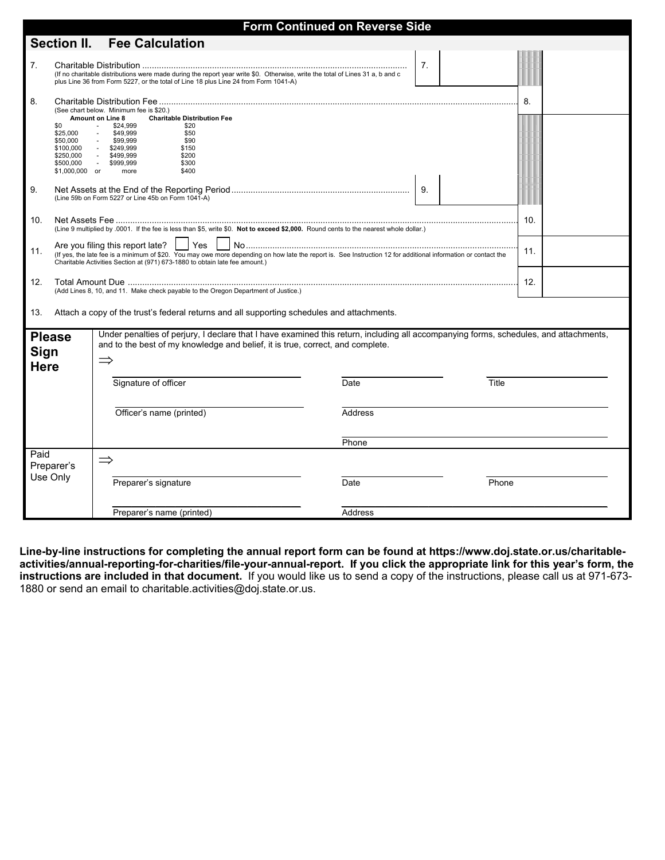|                                                                                                                                                                                                                                                                                  |                                                                                                                                                                                                                                                                                                 | Form Continued on Reverse Side                                                                                                                                                                                       |       |  |  |  |
|----------------------------------------------------------------------------------------------------------------------------------------------------------------------------------------------------------------------------------------------------------------------------------|-------------------------------------------------------------------------------------------------------------------------------------------------------------------------------------------------------------------------------------------------------------------------------------------------|----------------------------------------------------------------------------------------------------------------------------------------------------------------------------------------------------------------------|-------|--|--|--|
| <b>Section II. Fee Calculation</b>                                                                                                                                                                                                                                               |                                                                                                                                                                                                                                                                                                 |                                                                                                                                                                                                                      |       |  |  |  |
| 7.                                                                                                                                                                                                                                                                               |                                                                                                                                                                                                                                                                                                 | (If no charitable distributions were made during the report year write \$0. Otherwise, write the total of Lines 31 a, b and c<br>plus Line 36 from Form 5227, or the total of Line 18 plus Line 24 from Form 1041-A) | 7.    |  |  |  |
| 8.                                                                                                                                                                                                                                                                               | (See chart below. Minimum fee is \$20.)<br><b>Amount on Line 8</b><br>\$0<br>$\sim$ $-$<br>\$25,000<br>\$50,000<br>\$100,000<br>\$250,000<br>$\sim 10^{-11}$<br>\$500,000<br>$\sim 10^{-11}$<br>\$1,000,000 or                                                                                  | 8.                                                                                                                                                                                                                   |       |  |  |  |
| 9.                                                                                                                                                                                                                                                                               | (Line 59b on Form 5227 or Line 45b on Form 1041-A)                                                                                                                                                                                                                                              |                                                                                                                                                                                                                      |       |  |  |  |
| 10.                                                                                                                                                                                                                                                                              |                                                                                                                                                                                                                                                                                                 | 10.<br>(Line 9 multiplied by .0001. If the fee is less than \$5, write \$0. Not to exceed \$2,000. Round cents to the nearest whole dollar.)                                                                         |       |  |  |  |
| 11.                                                                                                                                                                                                                                                                              | Yes<br>Are you filing this report late?<br>11.<br>(If yes, the late fee is a minimum of \$20. You may owe more depending on how late the report is. See Instruction 12 for additional information or contact the<br>Charitable Activities Section at (971) 673-1880 to obtain late fee amount.) |                                                                                                                                                                                                                      |       |  |  |  |
| 12.                                                                                                                                                                                                                                                                              | 12.<br>(Add Lines 8, 10, and 11. Make check payable to the Oregon Department of Justice.)                                                                                                                                                                                                       |                                                                                                                                                                                                                      |       |  |  |  |
| 13.                                                                                                                                                                                                                                                                              | Attach a copy of the trust's federal returns and all supporting schedules and attachments.                                                                                                                                                                                                      |                                                                                                                                                                                                                      |       |  |  |  |
| Under penalties of perjury, I declare that I have examined this return, including all accompanying forms, schedules, and attachments,<br><b>Please</b><br>and to the best of my knowledge and belief, it is true, correct, and complete.<br>Sign<br>$\Rightarrow$<br><b>Here</b> |                                                                                                                                                                                                                                                                                                 |                                                                                                                                                                                                                      |       |  |  |  |
|                                                                                                                                                                                                                                                                                  |                                                                                                                                                                                                                                                                                                 | Signature of officer<br>Date                                                                                                                                                                                         | Title |  |  |  |
|                                                                                                                                                                                                                                                                                  |                                                                                                                                                                                                                                                                                                 | Officer's name (printed)<br>Address                                                                                                                                                                                  |       |  |  |  |
|                                                                                                                                                                                                                                                                                  |                                                                                                                                                                                                                                                                                                 | Phone                                                                                                                                                                                                                |       |  |  |  |
| Paid<br>Preparer's                                                                                                                                                                                                                                                               |                                                                                                                                                                                                                                                                                                 | $\Rightarrow$                                                                                                                                                                                                        |       |  |  |  |
| Use Only                                                                                                                                                                                                                                                                         |                                                                                                                                                                                                                                                                                                 | Preparer's signature<br>Date                                                                                                                                                                                         | Phone |  |  |  |
|                                                                                                                                                                                                                                                                                  |                                                                                                                                                                                                                                                                                                 | <b>Address</b><br>Preparer's name (printed)                                                                                                                                                                          |       |  |  |  |

**Line-by-line instructions for completing the annual report form can be found at https://www.doj.state.or.us/charitableactivities/annual-reporting-for-charities/file-your-annual-report. If you click the appropriate link for this year's form, the instructions are included in that document.** If you would like us to send a copy of the instructions, please call us at 971-673- 1880 or send an email to charitable.activities@doj.state.or.us.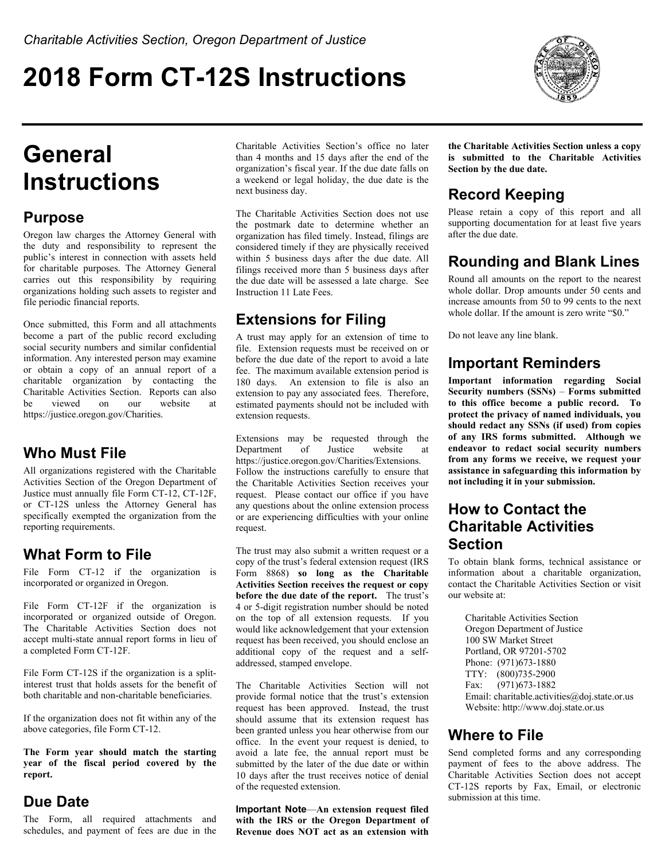# **2018 Form CT-12S Instructions**



# **General Instructions**

#### **Purpose**

Oregon law charges the Attorney General with the duty and responsibility to represent the public's interest in connection with assets held for charitable purposes. The Attorney General carries out this responsibility by requiring organizations holding such assets to register and file periodic financial reports.

Once submitted, this Form and all attachments become a part of the public record excluding social security numbers and similar confidential information. Any interested person may examine or obtain a copy of an annual report of a charitable organization by contacting the Charitable Activities Section. Reports can also be viewed on our website at https://justice.oregon.gov/Charities.

## **Who Must File**

All organizations registered with the Charitable Activities Section of the Oregon Department of Justice must annually file Form CT-12, CT-12F, or CT-12S unless the Attorney General has specifically exempted the organization from the reporting requirements.

## **What Form to File**

File Form CT-12 if the organization is incorporated or organized in Oregon.

File Form CT-12F if the organization is incorporated or organized outside of Oregon. The Charitable Activities Section does not accept multi-state annual report forms in lieu of a completed Form CT-12F.

File Form CT-12S if the organization is a splitinterest trust that holds assets for the benefit of both charitable and non-charitable beneficiaries.

If the organization does not fit within any of the above categories, file Form CT-12.

**The Form year should match the starting year of the fiscal period covered by the report.**

## **Due Date**

The Form, all required attachments and schedules, and payment of fees are due in the Charitable Activities Section's office no later than 4 months and 15 days after the end of the organization's fiscal year. If the due date falls on a weekend or legal holiday, the due date is the next business day.

The Charitable Activities Section does not use the postmark date to determine whether an organization has filed timely. Instead, filings are considered timely if they are physically received within 5 business days after the due date. All filings received more than 5 business days after the due date will be assessed a late charge. See Instruction 11 Late Fees.

### **Extensions for Filing**

A trust may apply for an extension of time to file. Extension requests must be received on or before the due date of the report to avoid a late fee. The maximum available extension period is 180 days. An extension to file is also an extension to pay any associated fees. Therefore, estimated payments should not be included with extension requests.

Extensions may be requested through the Department of Justice website at https://justice.oregon.gov/Charities/Extensions. Follow the instructions carefully to ensure that the Charitable Activities Section receives your request. Please contact our office if you have any questions about the online extension process or are experiencing difficulties with your online request.

The trust may also submit a written request or a copy of the trust's federal extension request (IRS Form 8868) **so long as the Charitable Activities Section receives the request or copy before the due date of the report.** The trust's 4 or 5-digit registration number should be noted on the top of all extension requests. If you would like acknowledgement that your extension request has been received, you should enclose an additional copy of the request and a selfaddressed, stamped envelope.

The Charitable Activities Section will not provide formal notice that the trust's extension request has been approved. Instead, the trust should assume that its extension request has been granted unless you hear otherwise from our office. In the event your request is denied, to avoid a late fee, the annual report must be submitted by the later of the due date or within 10 days after the trust receives notice of denial of the requested extension.

**Important Note**—**An extension request filed with the IRS or the Oregon Department of Revenue does NOT act as an extension with** 

**the Charitable Activities Section unless a copy is submitted to the Charitable Activities Section by the due date.**

## **Record Keeping**

Please retain a copy of this report and all supporting documentation for at least five years after the due date.

## **Rounding and Blank Lines**

Round all amounts on the report to the nearest whole dollar. Drop amounts under 50 cents and increase amounts from 50 to 99 cents to the next whole dollar. If the amount is zero write "\$0."

Do not leave any line blank.

## **Important Reminders**

**Important information regarding Social Security numbers (SSNs)** – **Forms submitted to this office become a public record. To protect the privacy of named individuals, you should redact any SSNs (if used) from copies of any IRS forms submitted. Although we endeavor to redact social security numbers from any forms we receive, we request your assistance in safeguarding this information by not including it in your submission.**

## **How to Contact the Charitable Activities Section**

To obtain blank forms, technical assistance or information about a charitable organization, contact the Charitable Activities Section or visit our website at:

 Charitable Activities Section Oregon Department of Justice 100 SW Market Street Portland, OR 97201-5702 Phone: (971)673-1880 TTY: (800)735-2900 Fax: (971)673-1882 Email: charitable.activities@doj.state.or.us Website: http://www.doj.state.or.us

#### **Where to File**

Send completed forms and any corresponding payment of fees to the above address. The Charitable Activities Section does not accept CT-12S reports by Fax, Email, or electronic submission at this time.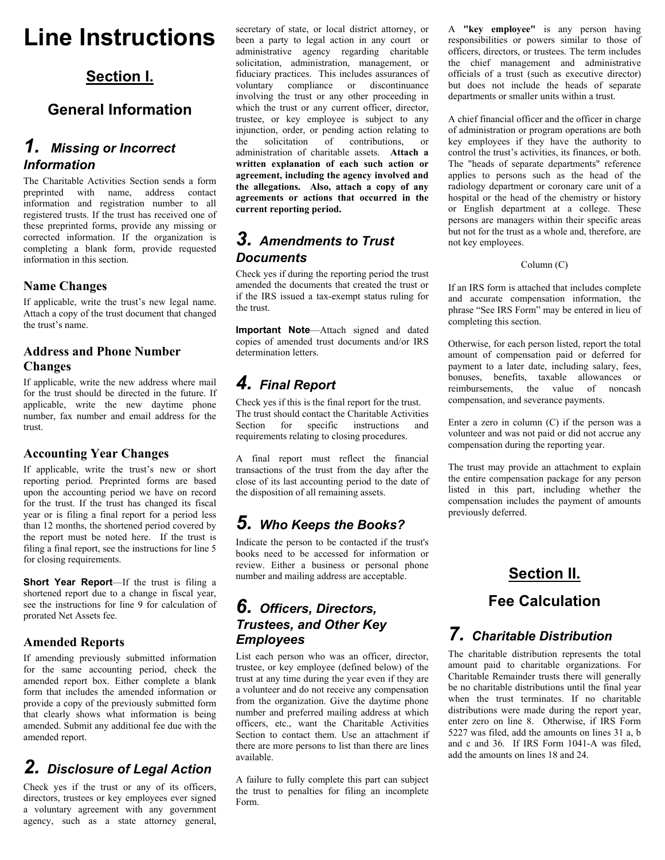# **Line Instructions**

#### **Section I.**

### **General Information**

### *1. Missing or Incorrect Information*

The Charitable Activities Section sends a form preprinted with name, address contact information and registration number to all registered trusts. If the trust has received one of these preprinted forms, provide any missing or corrected information. If the organization is completing a blank form, provide requested information in this section.

#### **Name Changes**

If applicable, write the trust's new legal name. Attach a copy of the trust document that changed the trust's name.

#### **Address and Phone Number Changes**

If applicable, write the new address where mail for the trust should be directed in the future. If applicable, write the new daytime phone number, fax number and email address for the trust.

#### **Accounting Year Changes**

If applicable, write the trust's new or short reporting period. Preprinted forms are based upon the accounting period we have on record for the trust. If the trust has changed its fiscal year or is filing a final report for a period less than 12 months, the shortened period covered by the report must be noted here. If the trust is filing a final report, see the instructions for line 5 for closing requirements.

**Short Year Report**—If the trust is filing a shortened report due to a change in fiscal year, see the instructions for line 9 for calculation of prorated Net Assets fee.

#### **Amended Reports**

If amending previously submitted information for the same accounting period, check the amended report box. Either complete a blank form that includes the amended information or provide a copy of the previously submitted form that clearly shows what information is being amended. Submit any additional fee due with the amended report.

# *2. Disclosure of Legal Action*

Check yes if the trust or any of its officers, directors, trustees or key employees ever signed a voluntary agreement with any government agency, such as a state attorney general,

secretary of state, or local district attorney, or been a party to legal action in any court or administrative agency regarding charitable solicitation, administration, management, or fiduciary practices. This includes assurances of voluntary compliance or discontinuance involving the trust or any other proceeding in which the trust or any current officer, director, trustee, or key employee is subject to any injunction, order, or pending action relating to the solicitation of contributions, or administration of charitable assets. **Attach a written explanation of each such action or agreement, including the agency involved and the allegations. Also, attach a copy of any agreements or actions that occurred in the current reporting period.**

## *3. Amendments to Trust Documents*

Check yes if during the reporting period the trust amended the documents that created the trust or if the IRS issued a tax-exempt status ruling for the trust.

**Important Note**—Attach signed and dated copies of amended trust documents and/or IRS determination letters.

# *4. Final Report*

Check yes if this is the final report for the trust. The trust should contact the Charitable Activities Section for specific instructions and requirements relating to closing procedures.

A final report must reflect the financial transactions of the trust from the day after the close of its last accounting period to the date of the disposition of all remaining assets.

## *5. Who Keeps the Books?*

Indicate the person to be contacted if the trust's books need to be accessed for information or review. Either a business or personal phone number and mailing address are acceptable.

#### *6. Officers, Directors, Trustees, and Other Key Employees*

List each person who was an officer, director, trustee, or key employee (defined below) of the trust at any time during the year even if they are a volunteer and do not receive any compensation from the organization. Give the daytime phone number and preferred mailing address at which officers, etc., want the Charitable Activities Section to contact them. Use an attachment if there are more persons to list than there are lines available.

A failure to fully complete this part can subject the trust to penalties for filing an incomplete Form.

A **"key employee"** is any person having responsibilities or powers similar to those of officers, directors, or trustees. The term includes the chief management and administrative officials of a trust (such as executive director) but does not include the heads of separate departments or smaller units within a trust.

A chief financial officer and the officer in charge of administration or program operations are both key employees if they have the authority to control the trust's activities, its finances, or both. The "heads of separate departments" reference applies to persons such as the head of the radiology department or coronary care unit of a hospital or the head of the chemistry or history or English department at a college. These persons are managers within their specific areas but not for the trust as a whole and, therefore, are not key employees.

#### Column (C)

If an IRS form is attached that includes complete and accurate compensation information, the phrase "See IRS Form" may be entered in lieu of completing this section.

Otherwise, for each person listed, report the total amount of compensation paid or deferred for payment to a later date, including salary, fees, bonuses, benefits, taxable allowances or reimbursements, the value of noncash compensation, and severance payments.

Enter a zero in column (C) if the person was a volunteer and was not paid or did not accrue any compensation during the reporting year.

The trust may provide an attachment to explain the entire compensation package for any person listed in this part, including whether the compensation includes the payment of amounts previously deferred.

# **Section II. Fee Calculation**

## *7. Charitable Distribution*

The charitable distribution represents the total amount paid to charitable organizations. For Charitable Remainder trusts there will generally be no charitable distributions until the final year when the trust terminates. If no charitable distributions were made during the report year, enter zero on line 8. Otherwise, if IRS Form 5227 was filed, add the amounts on lines 31 a, b and c and 36. If IRS Form 1041-A was filed, add the amounts on lines 18 and 24.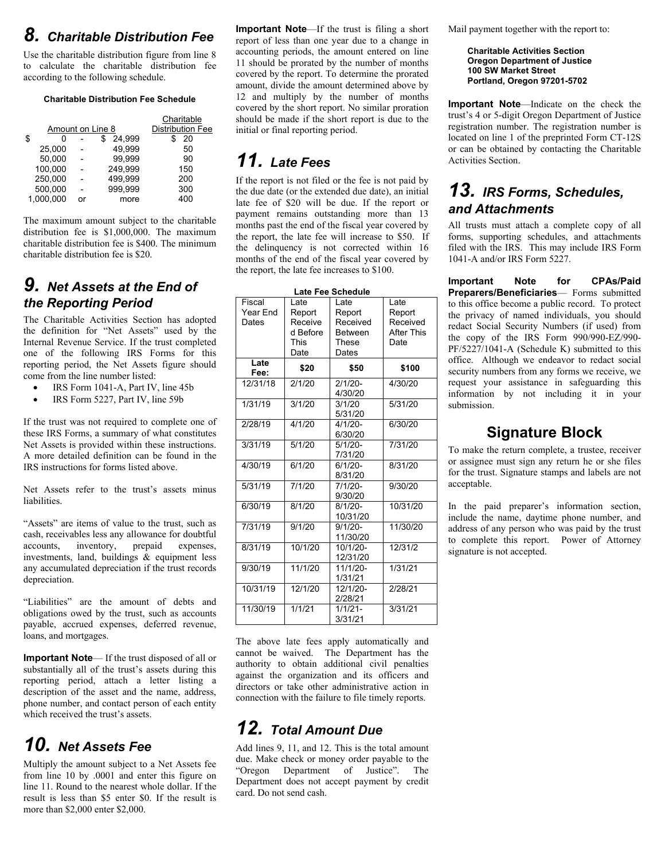## *8. Charitable Distribution Fee*

Use the charitable distribution figure from line 8 to calculate the charitable distribution fee according to the following schedule.

#### **Charitable Distribution Fee Schedule**

| Amount on Line 8 |    |         | Charitable<br><b>Distribution Fee</b> |  |
|------------------|----|---------|---------------------------------------|--|
| \$<br>0          |    | 24,999  | 20                                    |  |
| 25.000           |    | 49.999  | 50                                    |  |
| 50,000           |    | 99.999  | 90                                    |  |
| 100,000          |    | 249.999 | 150                                   |  |
| 250,000          |    | 499.999 | 200                                   |  |
| 500,000          |    | 999.999 | 300                                   |  |
| 1.000.000        | nr | more    | 400                                   |  |

The maximum amount subject to the charitable distribution fee is \$1,000,000. The maximum charitable distribution fee is \$400. The minimum charitable distribution fee is \$20.

### *9. Net Assets at the End of the Reporting Period*

The Charitable Activities Section has adopted the definition for "Net Assets" used by the Internal Revenue Service. If the trust completed one of the following IRS Forms for this reporting period, the Net Assets figure should come from the line number listed:

- IRS Form 1041-A, Part IV, line 45b
- IRS Form 5227, Part IV, line 59b

If the trust was not required to complete one of these IRS Forms, a summary of what constitutes Net Assets is provided within these instructions. A more detailed definition can be found in the IRS instructions for forms listed above.

Net Assets refer to the trust's assets minus liabilities.

"Assets" are items of value to the trust, such as cash, receivables less any allowance for doubtful<br>accounts. inventory. prepaid expenses. accounts, inventory, prepaid investments, land, buildings & equipment less any accumulated depreciation if the trust records depreciation.

"Liabilities" are the amount of debts and obligations owed by the trust, such as accounts payable, accrued expenses, deferred revenue, loans, and mortgages.

**Important Note**— If the trust disposed of all or substantially all of the trust's assets during this reporting period, attach a letter listing a description of the asset and the name, address, phone number, and contact person of each entity which received the trust's assets.

## *10. Net Assets Fee*

Multiply the amount subject to a Net Assets fee from line 10 by .0001 and enter this figure on line 11. Round to the nearest whole dollar. If the result is less than \$5 enter \$0. If the result is more than \$2,000 enter \$2,000.

**Important Note**—If the trust is filing a short report of less than one year due to a change in accounting periods, the amount entered on line 11 should be prorated by the number of months covered by the report. To determine the prorated amount, divide the amount determined above by 12 and multiply by the number of months covered by the short report. No similar proration should be made if the short report is due to the initial or final reporting period.

## *11. Late Fees*

If the report is not filed or the fee is not paid by the due date (or the extended due date), an initial late fee of \$20 will be due. If the report or payment remains outstanding more than 13 months past the end of the fiscal year covered by the report, the late fee will increase to \$50. If the delinquency is not corrected within 16 months of the end of the fiscal year covered by the report, the late fee increases to \$100.

| <b>Late Fee Schedule</b>    |                                                              |                                                                |                                                         |  |  |
|-----------------------------|--------------------------------------------------------------|----------------------------------------------------------------|---------------------------------------------------------|--|--|
| Fiscal<br>Year End<br>Dates | Late<br>Report<br>Receive<br>d Before<br><b>This</b><br>Date | Late<br>Report<br>Received<br><b>Between</b><br>These<br>Dates | Late<br>Report<br>Received<br><b>After This</b><br>Date |  |  |
| Late<br>Fee:                | \$20                                                         | \$50                                                           | \$100                                                   |  |  |
| 12/31/18                    | 2/1/20                                                       | $\overline{2}/1/20 -$<br>4/30/20                               | 4/30/20                                                 |  |  |
| 1/31/19                     | 3/1/20                                                       | 3/1/20<br>5/31/20                                              | 5/31/20                                                 |  |  |
| 2/28/19                     | 4/1/20                                                       | $4/1/20 -$<br>6/30/20                                          | 6/30/20                                                 |  |  |
| 3/31/19                     | 5/1/20                                                       | $5/1/20-$<br>7/31/20                                           | 7/31/20                                                 |  |  |
| 4/30/19                     | 6/1/20                                                       | $6/1/20 -$<br>8/31/20                                          | 8/31/20                                                 |  |  |
| 5/31/19                     | 7/1/20                                                       | $7/1/20-$<br>9/30/20                                           | 9/30/20                                                 |  |  |
| 6/30/19                     | 8/1/20                                                       | $8/1/20 -$<br>10/31/20                                         | 10/31/20                                                |  |  |
| 7/31/19                     | 9/1/20                                                       | $9/1/20 -$<br>11/30/20                                         | 11/30/20                                                |  |  |
| 8/31/19                     | 10/1/20                                                      | 10/1/20-<br>12/31/20                                           | 12/31/2                                                 |  |  |
| 9/30/19                     | 11/1/20                                                      | 11/1/20-<br>1/31/21                                            | 1/31/21                                                 |  |  |
| 10/31/19                    | 12/1/20                                                      | 12/1/20-<br>2/28/21                                            | 2/28/21                                                 |  |  |
| 11/30/19                    | 1/1/21                                                       | $1/1/21-$<br>3/31/21                                           | 3/31/21                                                 |  |  |

The above late fees apply automatically and cannot be waived. The Department has the authority to obtain additional civil penalties against the organization and its officers and directors or take other administrative action in connection with the failure to file timely reports.

# *12. Total Amount Due*

Add lines 9, 11, and 12. This is the total amount due. Make check or money order payable to the "Oregon Department of Justice". The Department does not accept payment by credit card. Do not send cash.

Mail payment together with the report to:

 **Charitable Activities Section Oregon Department of Justice 100 SW Market Street Portland, Oregon 97201-5702**

**Important Note**—Indicate on the check the trust's 4 or 5-digit Oregon Department of Justice registration number. The registration number is located on line 1 of the preprinted Form CT-12S or can be obtained by contacting the Charitable Activities Section.

## *13. IRS Forms, Schedules, and Attachments*

All trusts must attach a complete copy of all forms, supporting schedules, and attachments filed with the IRS. This may include IRS Form 1041-A and/or IRS Form 5227.

**Important Note for CPAs/Paid Preparers/Beneficiaries**— Forms submitted to this office become a public record. To protect the privacy of named individuals, you should redact Social Security Numbers (if used) from the copy of the IRS Form 990/990-EZ/990- PF/5227/1041-A (Schedule K) submitted to this office. Although we endeavor to redact social security numbers from any forms we receive, we request your assistance in safeguarding this information by not including it in your submission.

#### **Signature Block**

To make the return complete, a trustee, receiver or assignee must sign any return he or she files for the trust. Signature stamps and labels are not acceptable.

In the paid preparer's information section, include the name, daytime phone number, and address of any person who was paid by the trust to complete this report. Power of Attorney signature is not accepted.